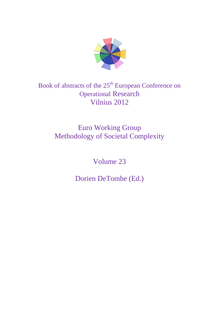

# Book of abstracts of the 25<sup>th</sup> European Conference on Operational Research Vilnius 2012

# Euro Working Group Methodology of Societal Complexity

Volume 23

Dorien DeTombe (Ed.)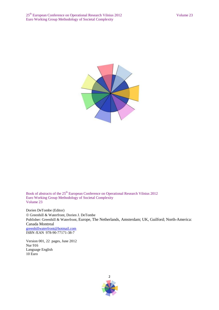

Book of abstracts of the 25<sup>th</sup> European Conference on Operational Research Vilnius 2012 Euro Working Group Methodology of Societal Complexity Volume 23

Dorien DeTombe (Editor) Greenhill & Waterfront, Dorien J. DeTombe Publisher: Greenhill & Waterfront, Europe, The Netherlands, Amsterdam; UK, Guilford; North-America: Canada Montreal [greenhillwaterfront@hotmail.com](mailto:greenhillwaterfront@hotmail.com) ISBN /EAN 978-90-77171-38-7

Version 001, 22 pages, June 2012 Nur 916 Language English 10 Euro

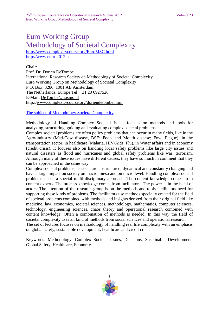# Euro Working Group Methodology of Societal Complexity

<http://www.complexitycourse.org/EuroMSC.html> [http://www.euro-2012.lt](http://www.euro-2012.lt/)

#### Chair:

Prof. Dr. Dorien DeTombe International Research Society on Methodology of Societal Complexity Euro Working Group on Methodology of Societal Complexity P.O. Box. 3286, 1001 AB Amsterdam, The Netherlands, Europe Tel: +31 20 6927526 E-Mail: [DeTombe@nosmo.nl](mailto:DeTombe@nosmo.nl) http:/[/www.complexitycourse.org/doriendetombe.html](http://www.complexitycourse.org/doriendetombe.html)

#### [The subject of Methodology Societal Complexity](http://www.complexitycourse.org/EuroMSC.html)

Methodology of Handling Complex Societal Issues focuses on methods and tools for analyzing, structuring, guiding and evaluating complex societal problems.

Complex societal problems are often policy problems that can occur in many fields, like in the Agro-industry (Mad-Cow disease, BSE; Foot- and Mouth disease; Fowl Plague), in the transportation sector, in healthcare (Malaria, HIV/Aids, Flu), in Water affairs and in economy (credit crisis). It focuses also on handling local safety problems like large city issues and natural disasters as flood and hurricanes and global safety problems like war, terrorism. Although many of these issues have different causes, they have so much in comment that they can be approached in the same way.

Complex societal problems, as such, are unstructured, dynamical and constantly changing and have a large impact on society on macro, meso and on micro level. Handling complex societal problems needs a special multi-disciplinary approach. The content knowledge comes from content experts. The process knowledge comes from facilitators. The power is in the hand of actors. The attention of the research group is on the methods and tools facilitators need for supporting these kinds of problems. The facilitators use methods specially created for the field of societal problems combined with methods and insights derived from their original field like medicine, law, economics, societal sciences, methodology, mathematics, computer sciences, technology, engineering sciences, chaos theory and operational research combined with content knowledge. Often a combination of methods is needed. In this way the field of societal complexity uses all kind of methods from social sciences and operational research.

The set of lectures focuses on methodology of handling real life complexity with an emphasis on global safety, sustainable development, healthcare and credit crisis.

Keywords: Methodology, Complex Societal Issues, Decisions, Sustainable Development, Global Safety, Healthcare, Economy

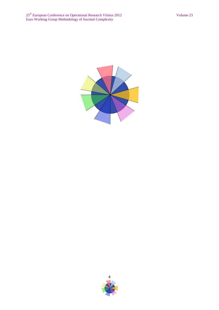

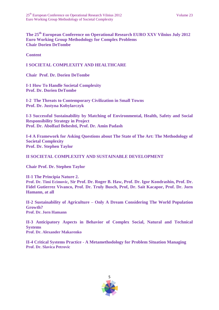**The 25 th European Conference on Operational Research EURO XXV Vilnius July 2012 Euro Working Group Methodology for Complex Problems Chair Dorien DeTombe** 

**Content**

# **I SOCIETAL COMPLEXITY AND HEALTHCARE**

**Chair Prof. Dr. Dorien DeTombe**

**I-1 How To Handle Societal Complexity Prof. Dr. Dorien DeTombe**

**I-2 The Threats to Contemporary Civilization in Small Towns Prof. Dr. Justyna Kobylarczyk**

**I-3 Successful Sustainability by Matching of Environmental, Health, Safety and Social Responsibility Strategy in Project Prof. Dr. Abolfazl Beheshti, Prof. Dr. Amin Padash**

**I-4 A Framework for Asking Questions about The State of The Art: The Methodology of Societal Complexity Prof. Dr. Stephen Taylor**

**II SOCIETAL COMPLEXITY AND SUSTAINABLE DEVELOPMENT**

**Chair Prof. Dr. Stephen Taylor**

**II-1 The Principia Nature 2. Prof. Dr. Timi Ecimovic**, **Sir Prof. Dr. Roger B. Haw, Prof. Dr. Igor Kondrashin, Prof. Dr. Fidel Gutierrez Vivanco, Prof. Dr. Truly Busch, Prof, Dr. Sait Kacapor, Prof. Dr. Jorn Hamann, at all**

**II-2 Sustainability of Agriculture – Only A Dream Considering The World Population Growth? Prof. Dr. Jorn Hamann**

**II-3 Anticipatory Aspects in Behavior of Complex Social, Natural and Technical Systems Prof. Dr. Alexander Makarenko**

**II-4 Critical Systems Practice - A Metamethodology for Problem Situation Managing Prof. Dr. Slavica Petrovic**

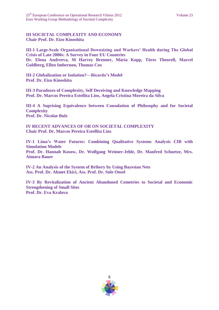# **III SOCIETAL COMPLEXITY AND ECONOMY Chair Prof. Dr. Eizo Kinoshita**

**III-1 Large-Scale Organisational Downsizing and Workers' Health during The Global Crisis of Late 2000s: A Survey in Four EU Countries Dr. Elena Andreeva**, **M Harvey Brenner, Mária Kopp, Töres Theorell, Marcel Goldberg, Ellen Imbernon, Thomas Cox**

**III-2 Globalization or Isolation?—Ricardo's Model Prof. Dr. Eizo Kinoshita**

**III-3 Paradoxes of Complexity, Self Deceiving and Knowledge Mapping Prof. Dr. Marcos Pereira Estellita Lins, Angela Cristina Moreira da Silva**

**III-4 A Suprising Equivalence between Consolation of Philosophy and for Societal Complexity Prof. Dr. Nicolae Bulz**

**IV RECENT ADVANCES OF OR ON SOCIETAL COMPLEXITY Chair Prof. Dr. Marcos Pereira Estellita Lins**

**IV-1 Lima's Water Futures: Combining Qualitative Systems Analysis CIB with Simulation Models Prof. Dr. Hannah Kosow, Dr. Wolfgang Weimer-Jehle, Dr. Manfred Schuetze, Mrs. Aimara Bauer**

**IV-2 An Analysis of the System of Bribery by Using Bayesian Nets Ass. Prof. Dr. Ahmet Ekici, Ass. Prof. Dr. Sule Onsel**

**IV-3 By Revitalization of Ancient Abandoned Cemetries to Societal and Economic Strengthening of Small Sites Prof. Dr. Eva Kralova**

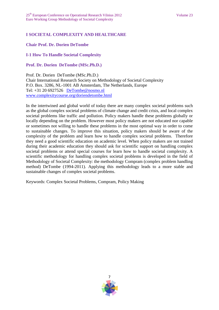# **I SOCIETAL COMPLEXITY AND HEALTHCARE**

#### **Chair Prof. Dr. Dorien DeTombe**

#### **I-1 How To Handle Societal Complexity**

**Prof. Dr. Dorien DeTombe (MSc.Ph.D.)**

Prof. Dr. Dorien DeTombe (MSc.Ph.D.) Chair International Research Society on Methodology of Societal Complexity P.O. Box. 3286, NL-1001 AB Amsterdam, The Netherlands, Europe Tel: +31 20 6927526 [DeTombe@nosmo.nl](mailto:DeTombe@nosmo.nl) [www.complexitycourse.org/doriendetombe.html](http://www.complexitycourse.org/doriendetombe.html)

In the intertwined and global world of today there are many complex societal problems such as the global complex societal problems of climate change and credit crisis, and local complex societal problems like traffic and pollution. Policy makers handle these problems globally or locally depending on the problem. However most policy makers are not educated nor capable or sometimes not willing to handle these problems in the most optimal way in order to come to sustainable changes. To improve this situation, policy makers should be aware of the complexity of the problem and learn how to handle complex societal problems. Therefore they need a good scientific education on academic level. When policy makers are not trained during their academic education they should ask for scientific support on handling complex societal problems or attend special courses for learn how to handle societal complexity. A scientific methodology for handling complex societal problems is developed in the field of Methodology of Societal Complexity: the methodology Compram (complex problem handling method) DeTombe (1994-2011). Applying this methodology leads to a more stable and sustainable changes of complex societal problems.

Keywords: Complex Societal Problems, Compram, Policy Making

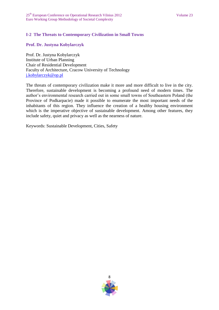# **I-2 The Threats to Contemporary Civilization in Small Towns**

#### **Prof. Dr. Justyna Kobylarczyk**

Prof. Dr. Justyna Kobylarczyk Institute of Urban Planning Chair of Residential Development Faculty of Architecture, Cracow University of Technology [j.kobylarczyk@op.pl](mailto:j.kobylarczyk@op.pl)

The threats of contemporary civilization make it more and more difficult to live in the city. Therefore, sustainable development is becoming a profound need of modern times. The author's environmental research carried out in some small towns of Southeastern Poland (the Province of Podkarpacie) made it possible to enumerate the most important needs of the inhabitants of this region. They influence the creation of a healthy housing environment which is the imperative objective of sustainable development. Among other features, they include safety, quiet and privacy as well as the nearness of nature.

Keywords: Sustainable Development, Cities, Safety

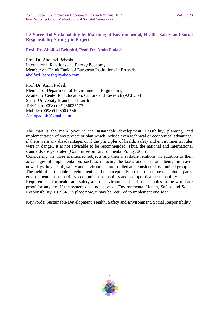# **I-3 Successful Sustainability by Matching of Environmental, Health, Safety and Social Responsibility Strategy in Project**

**Prof. Dr. Abolfazl Beheshti, Prof. Dr. Amin Padash**

Prof. Dr. Abolfazl Beheshti International Relations and Energy Economy Member of "Think Tank "of European Institutions in Brussels [abolfazl\\_behesht@yahoo.com](mailto:abolfazl_behesht@yahoo.com)

Prof. Dr. Amin Padash Member of Department of Environmental Engineering Academic Center for Education, Culture and Research (ACECR) Sharif University Branch, Tehran-Iran Tel/Fax :( 0098) (021)66035177 Mobile: (0098)912300 0586 [Aminpadash@gmail.com](mailto:Aminpadash@gmail.com)

The man is the main pivot in the sustainable development. Possibility, planning, and implementation of any project or plan which include even technical or economical advantage, if there were any disadvantages or if the principles of health, safety and environmental rules were in danger, it is not advisable to be recommended. Thus, the national and international standards are generated (Committee on Environmental Policy, 2006).

Considering the three mentioned subjects and their inevitable relations, in addition to their advantages of implementation, such as reducing the taxes and costs and being timesaver nowadays they health, safety and environment are studied and considered as a united group.

The field of sustainable development can be conceptually broken into three constituent parts: environmental sustainability, economic sustainability and sociopolitical sustainability.

Requirements for health and safety and of environmental and social topics in the world are proof for anyone. If the system does not have an Environmental Health, Safety and Social Responsibility (EHSSR) in place now, it may be required to implement one soon.

Keywords: Sustainable Development, Health, Safety and Environment, Social Responsibility

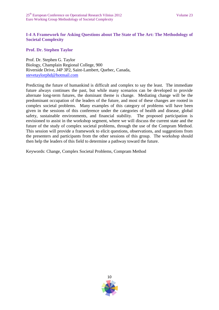# **I-4 A Framework for Asking Questions about The State of The Art: The Methodology of Societal Complexity**

**Prof. Dr. Stephen Taylor**

Prof. Dr. Stephen G. Taylor Biology, Champlain Regional College, 900 Riverside Drive, J4P 3P2, Saint-Lambert, Quebec, Canada, [stevetaylorphd@hotmail.com](mailto:stevetaylorphd@hotmail.com)

Predicting the future of humankind is difficult and complex to say the least. The immediate future always continues the past, but while many scenarios can be developed to provide alternate long-term futures, the dominant theme is change. Mediating change will be the predominant occupation of the leaders of the future, and most of these changes are rooted in complex societal problems. Many examples of this category of problems will have been given in the sessions of this conference under the categories of health and disease, global safety, sustainable environments, and financial stability. The proposed participation is envisioned to assist in the workshop segment, where we will discuss the current state and the future of the study of complex societal problems, through the use of the Compram Method. This session will provide a framework to elicit questions, observations, and suggestions from the presenters and participants from the other sessions of this group. The workshop should then help the leaders of this field to determine a pathway toward the future.

Keywords: Change, Complex Societal Problems, Compram Method

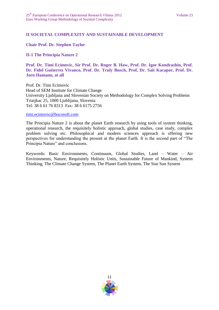#### **II SOCIETAL COMPLEXITY AND SUSTAINABLE DEVELOPMENT**

#### **Chair Prof. Dr. Stephen Taylor**

#### **II-1 The Principia Nature 2**

**Prof. Dr. Timi Ecimovic**, **Sir Prof. Dr. Roger B. Haw, Prof. Dr. Igor Kondrashin, Prof. Dr. Fidel Gutierrez Vivanco, Prof. Dr. Truly Busch, Prof, Dr. Sait Kacapor, Prof. Dr. Jorn Hamann, at all**

Prof. Dr. Timi Ecimovic Head of SEM Institute for Climate Change University Ljubljana and Slovenian Society on Methodology for Complex Solving Problems Triaijkac 25, 1000 Ljublijana, Slovenia Tel: 38 6 61 76 8313 Fax: 38 6 6175 2756

#### [timi.ecimovic@bocosoft.com](mailto:timi.ecimovic@bocosoft.com)

The Principia Nature 2 is about the planet Earth research by using tools of system thinking, operational research, the requisitely holistic approach, global studies, case study, complex problem solving etc. Philosophical and modern sciences approach is offering new perspectives for understanding the present at the planet Earth. It is the second part of "The Principia Nature" and conclusions.

Keywords: Basic Environments, Continuum, Global Studies, Land – Water – Air Environments, Nature, Requisitely Holistic Units, Sustainable Future of Mankind, System Thinking, The Climate Change System, The Planet Earth System, The Star Sun System

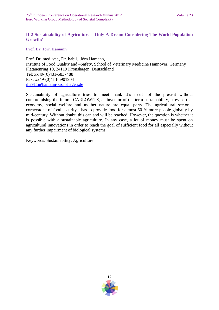# **II-2 Sustainability of Agriculture – Only A Dream Considering The World Population Growth?**

**Prof. Dr. Jorn Hamann**

Prof. Dr. med. vet., Dr. habil. Jörn Hamann, Institute of Food Quality and –Safety, School of Veterinary Medicine Hannover, Germany Platanenring 10, 24119 Kronshagen, Deutschland Tel: xx49-(0)431-5837488 Fax: xx49-(0)413-5901904 [jha911@hamann-kronshagen.de](mailto:jha911@hamann-kronshagen.de)

Sustainability of agriculture tries to meet mankind's needs of the present without compromising the future. CARLOWITZ, as inventor of the term sustainability, stressed that economy, social welfare and mother nature are equal parts. The agricultural sector cornerstone of food security - has to provide food for almost 50 % more people globally by mid-century. Without doubt, this can and will be reached. However, the question is whether it is possible with a sustainable agriculture. In any case, a lot of money must be spent on agricultural innovations in order to reach the goal of sufficient food for all especially without any further impairment of biological systems.

Keywords: Sustainability, Agriculture

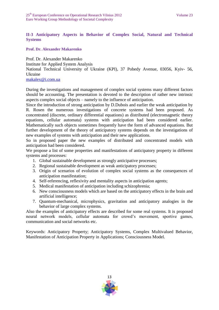# **II-3 Anticipatory Aspects in Behavior of Complex Social, Natural and Technical Systems**

**Prof. Dr. Alexander Makarenko**

Prof. Dr. Alexander Makarenko

Institute for Applied System Analysis

National Technical University of Ukraine (KPI), 37 Pobedy Avenue, 03056, Kyiv- 56, Ukraine

[makalex@i.com.ua](mailto:makalex@i.com.ua)

During the investigations and management of complex social systems many different factors should be accounting. The presentation is devoted to the description of rather new intrinsic aspects complex social objects – namely to the influence of anticipation.

Since the introduction of strong anticipation by D.Dubois and earlier the weak anticipation by R. Rosen the numerous investigations of concrete systems had been proposed. As concentrated (discrete, ordinary differential equations) as distributed (electromagnetic theory equations, cellular automata) systems with anticipation had been considered earlier. Mathematically such objects sometimes frequently have the form of advanced equations. But further development of the theory of anticipatory systems depends on the investigations of new examples of systems with anticipation and their new applications.

So in proposed paper the new examples of distributed and concentrated models with anticipation had been considered.

We propose a list of some properties and manifestations of anticipatory property in different systems and processes:

- 1. Global sustainable development as strongly anticipative processes;
- 2. Regional sustainable development as weak anticipatory processes;
- 3. Origin of scenarios of evolution of complex social systems as the consequences of anticipation manifestation;
- 4. Self-referencing, reflexivity and mentality aspects in anticipation agents;
- 5. Medical manifestation of anticipation including schizophrenia;
- 6. New consciousness models which are based on the anticipatory effects in the brain and artificial intelligence;
- 7. Quantum-mechanical, microphysics, gravitation and anticipatory analogies in the behavior of large complex systems.

Also the examples of anticipatory effects are described for some real systems. It is proposed neural network models, cellular automata for crowd's movement, sportive games, communication and social networks etc.

Keywords: Anticipatory Property; Anticipatory Systems, Complex Multivalued Behavior, Manifestation of Anticipation Property in Applications; Consciousness Model.

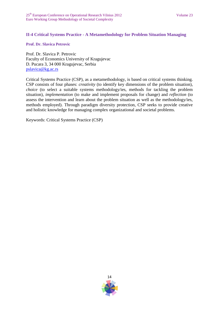# **II-4 Critical Systems Practice - A Metamethodology for Problem Situation Managing**

**Prof. Dr. Slavica Petrovic**

Prof. Dr. Slavica P. Petrovic Faculty of Economics University of Kragujevac D. Pucara 3, 34 000 Kragujevac, Serbia [pslavica@kg.ac.rs](mailto:pslavica@kg.ac.rs)

Critical Systems Practice (CSP), as a metamethodology, is based on critical systems thinking. CSP consists of four phases: *creativity* (to identify key dimensions of the problem situation), *choice* (to select a suitable systems methodology/ies, methods for tackling the problem situation), *implementation* (to make and implement proposals for change) and *reflection* (to assess the intervention and learn about the problem situation as well as the methodology/ies, methods employed). Through paradigm diversity protection, CSP seeks to provide creative and holistic knowledge for managing complex organizational and societal problems.

Keywords: Critical Systems Practice (CSP)

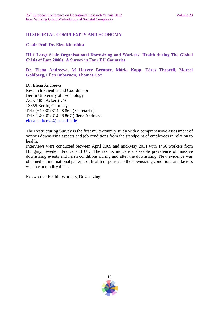## **III SOCIETAL COMPLEXITY AND ECONOMY**

#### **Chair Prof. Dr. Eizo Kinoshita**

**III-1 Large-Scale Organisational Downsizing and Workers' Health during The Global Crisis of Late 2000s: A Survey in Four EU Countries**

**Dr. Elena Andreeva**, **M Harvey Brenner, Mária Kopp, Töres Theorell, Marcel Goldberg, Ellen Imbernon, Thomas Cox**

Dr. Elena Andreeva Research Scientist and Coordinator Berlin University of Technology ACK-185, Ackerstr. 76 13355 Berlin, Germany Tel.: (+49 30) 314 28 864 (Secretariat) Tel.: (+49 30) 314 28 867 (Elena Andreeva [elena.andreeva@tu-berlin.de](mailto:elena.andreeva@tu-berlin.de)

The Restructuring Survey is the first multi-country study with a comprehensive assessment of various downsizing aspects and job conditions from the standpoint of employees in relation to health.

Interviews were conducted between April 2009 and mid-May 2011 with 1456 workers from Hungary, Sweden, France and UK. The results indicate a sizeable prevalence of massive downsizing events and harsh conditions during and after the downsizing. New evidence was obtained on international patterns of health responses to the downsizing conditions and factors which can modify them.

Keywords: Health, Workers, Downsizing

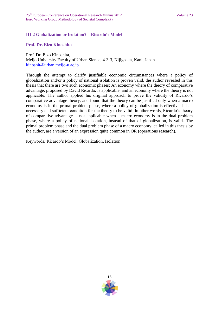# **III-2 Globalization or Isolation?—Ricardo's Model**

#### **Prof. Dr. Eizo Kinoshita**

Prof. Dr. Eizo Kinoshita, Meijo University Faculty of Urban Sience, 4-3-3, Nijigaoka, Kani, Japan [kinoshit@urban.meijo-u.ac.jp](mailto:kinoshit@urban.meijo-u.ac.jp)

Through the attempt to clarify justifiable economic circumstances where a policy of globalization and/or a policy of national isolation is proven valid, the author revealed in this thesis that there are two such economic phases: An economy where the theory of comparative advantage, proposed by David Ricardo, is applicable, and an economy where the theory is not applicable. The author applied his original approach to prove the validity of Ricardo's comparative advantage theory, and found that the theory can be justified only when a macro economy is in the primal problem phase, where a policy of globalization is effective. It is a necessary and sufficient condition for the theory to be valid. In other words, Ricardo's theory of comparative advantage is not applicable when a macro economy is in the dual problem phase, where a policy of national isolation, instead of that of globalization, is valid. The primal problem phase and the dual problem phase of a macro economy, called in this thesis by the author, are a version of an expression quite common in OR (operations research).

Keywords*:* Ricardo's Model, Globalization, Isolation

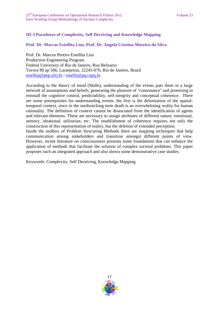# **III-3 Paradoxes of Complexity, Self Deceiving and Knowledge Mapping**

#### **Prof. Dr. Marcos Estellita Lins**, **Prof. Dr. Angela Cristina Moreira da Silva**

Prof. Dr. Marcos Pereira Estellita Lins Production Engineering Program Federal University of Rio de Janeiro, Rua Belisario Tavora 80 ap 506, Laranjeiras, 22245-070, Rio de Janeiro, Brazil [estellita@pep.ufrj.br](mailto:estellita@pep.ufrj.br) / [estellit@pq.cnpq.br](mailto:estellit@pq.cnpq.br)

According to the theory of mind (Malle), understanding of the events puts them in a large network of assumptions and beliefs, generating the pleasure of "consonance" and promising to reinstall the cognitive control, predictability, self-integrity and conceptual coherence. There are some prerequisites for understanding events: the first is the delimitation of the spatialtemporal context, since in the medium/long term death is an overwhelming reality for human rationality. The definition of context cannot be dissociated from the identification of agents and relevant elements. These are necessary to assign attributes of different nature: emotional, sensory, ideational, utilitarian, etc. The establishment of coherence requires not only the construction of this representation of reality, but the deletion of extended perception.

Inside the toolbox of Problem Strucuring Methods there are mapping techniques that help communication among stakeholders and transition amongst different points of view. However, recent literature on consciousness presents some foundations that can enhance the application of methods that facilitate the solution of complex societal problems. This paper proposes such an integrated approach and also shows some demonstrative case studies.

Keywords: Complexity, Self Deceiving, Knowledge Mapping

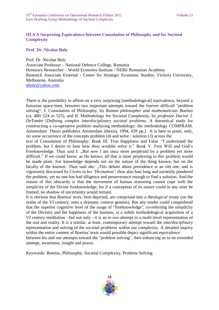# **III-4 A Surprising Equivalence between Consolation of Philosophy and for Societal Complexity**

**Prof. Dr. Nicolae Bulz**

Prof. Dr. Nicolae Bulz Associate Professor – National Defence College, Romania Honorary Researcher – World Economy Institute / NERI/ Romanian Academy Research Associate External - Center for Strategic Economic Studies, Victoria University, Melbourne, Australia [nbulz@yahoo.com](mailto:nbulz@yahoo.com)

There is the possibility to affirm on a very surprising [methodological] equivalence, beyond a historian space-time, between two important attempts toward the forever difficult "problem solving": I: Consolation of Philosophy, by *Roman philosopher and mathematician Boetius*  (ca. 480–524 or 525), and II: Methodology for Societal Complexity, by *professor Dorien J. DeTombe* [*Defining complex interdisciplinary societal problems*. A theoretical study for constructing a co-operative problem analyzing methodology: the methodology COMPRAM. Amsterdam: Thesis publishers Amsterdam (thesis), 1994, 439 pp.]. It is here to point, only, on some occurrence of the concepts problem (4) and solve / solution (3) across the

text of Consolation of Philosophy: Book III. True Happiness and False. "I understand the problem, but I desire to hear how thou wouldst solve it." Book V. Free Will and God's Foreknowledge. Then said I: "But now I am once more perplexed by a problem yet more difficult." If we could know, as He knows, all that is most perplexing in this problem would be made plain. For knowledge depends not on the nature of the thing known, but on the faculty of the knower. Then said she: "This debate about providence is an old one, and is vigorously discussed by Cicero in his 'Divination'; thou also hast long and earnestly pondered the problem, yet no one has had diligence and perseverance enough to find a solution. And the reason of this obscurity is that the movement of human reasoning cannot cope with the simplicity of the Divine foreknowledge; for if a conception of its nature could in any wise be framed, no shadow of uncertainty would remain.

It is obvious that Boetius' texts, here depicted, are comprised into a *theological treaty* (on the realm of the VI century; onto a dramatic context genesis). But any reader could comprehend that the superior cognitive level of the usage of "foreknowledge", co-referring the simplicity of the Divinity and the happiness of the humans, is a subtle methodological acquisition of a VI century meditation - but not only - it is an *in ovo* attempt to a multi-level representation of the real and reality. It is a similar, at least, contemporary attempt toward the *interdisciplinary* representation and solving of the *societal problems* within our complexity. A detailed inquiry within the entire content of Boetius' texts would possible depict significant equivalence between his and our attempts toward the "problem solving", then enhancing us to an extended

attempt, awareness, insight and praxis.

Keywords: Boetius, Philosophy, Societal Complexity, Problem Solving

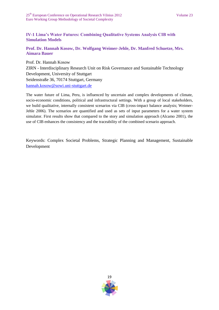# **IV-1 Lima's Water Futures: Combining Qualitative Systems Analysis CIB with Simulation Models**

## **Prof. Dr. Hannah Kosow, Dr. Wolfgang Weimer-Jehle, Dr. Manfred Schuetze, Mrs. Aimara Bauer**

Prof. Dr. Hannah Kosow ZIRN - Interdisciplinary Research Unit on Risk Governance and Sustainable Technology Development, University of Stuttgart Seidenstraße 36, 70174 Stuttgart, Germany [hannah.kosow@sowi.uni-stuttgart.de](mailto:hannah.kosow@sowi.uni-stuttgart.de)

The water future of Lima, Peru, is influenced by uncertain and complex developments of climate, socio-economic conditions, political and infrastructural settings. With a group of local stakeholders, we build qualitative, internally consistent scenarios via CIB (cross-impact balance analysis; Weimer-Jehle 2006). The scenarios are quantified and used as sets of input parameters for a water system simulator. First results show that compared to the story and simulation approach (Alcamo 2001), the use of CIB enhances the consistency and the traceability of the combined scenario approach.

Keywords: Complex Societal Problems, Strategic Planning and Management, Sustainable Development

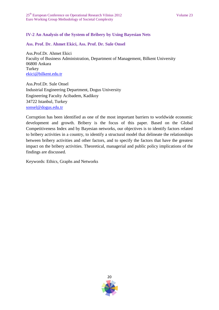# **IV-2 An Analysis of the System of Bribery by Using Bayesian Nets**

#### **Ass. Prof. Dr. Ahmet Ekici, Ass. Prof. Dr. Sule Onsel**

Ass.Prof.Dr. Ahmet Ekici Faculty of Business Administration, Department of Management, Bilkent University 06800 Ankara **Turkey** [ekici@bilkent.edu.tr](mailto:ekici@bilkent.edu.tr)

Ass.Prof.Dr. Sule Onsel Industrial Engineering Department, Dogus University Engineering Faculty Acibadem, Kadikoy 34722 Istanbul, Turkey [sonsel@dogus.edu.tr](mailto:sonsel@dogus.edu.tr)

Corruption has been identified as one of the most important barriers to worldwide economic development and growth. Bribery is the focus of this paper. Based on the Global Competitiveness Index and by Bayesian networks, our objectives is to identify factors related to bribery activities in a country, to identify a structural model that delineate the relationships between bribery activities and other factors, and to specify the factors that have the greatest impact on the bribery activities. Theoretical, managerial and public policy implications of the findings are discussed.

Keywords: Ethics, Graphs and Networks

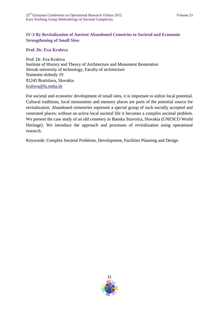# **IV-3 By Revitalization of Ancient Abandoned Cemetries to Societal and Economic Strengthening of Small Sites**

#### **Prof. Dr. Eva Kralova**

Prof. Dr. Eva Kralova Institute of History and Theory of Architecture and Monument Restoration Slovak university of technology, Faculty of architecture Namestie slobody 19 81245 Bratislava, Slovakia [kralova@fa.stuba.sk](mailto:kralova@fa.stuba.sk)

For societal and economic development of small sites, it is important to utilize local potential. Cultural traditions, local monuments and memory places are parts of the potential source for revitalization. Abandoned cemeteries represent a special group of such socially accepted and venerated places; without an active local societal life it becomes a complex societal problem. We present the case study of an old cemetery in Banska Stiavnica, Slovakia (UNESCO World Heritage). We introduce the approach and processes of revitalization using operational research.

Keywords: Complex Societal Problems, Development, Facilities Planning and Design

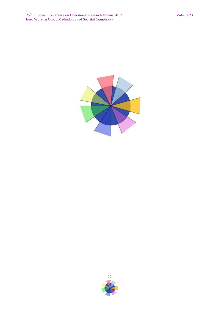

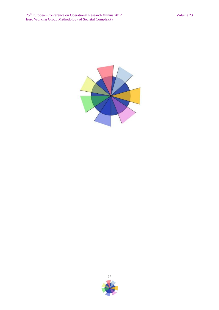